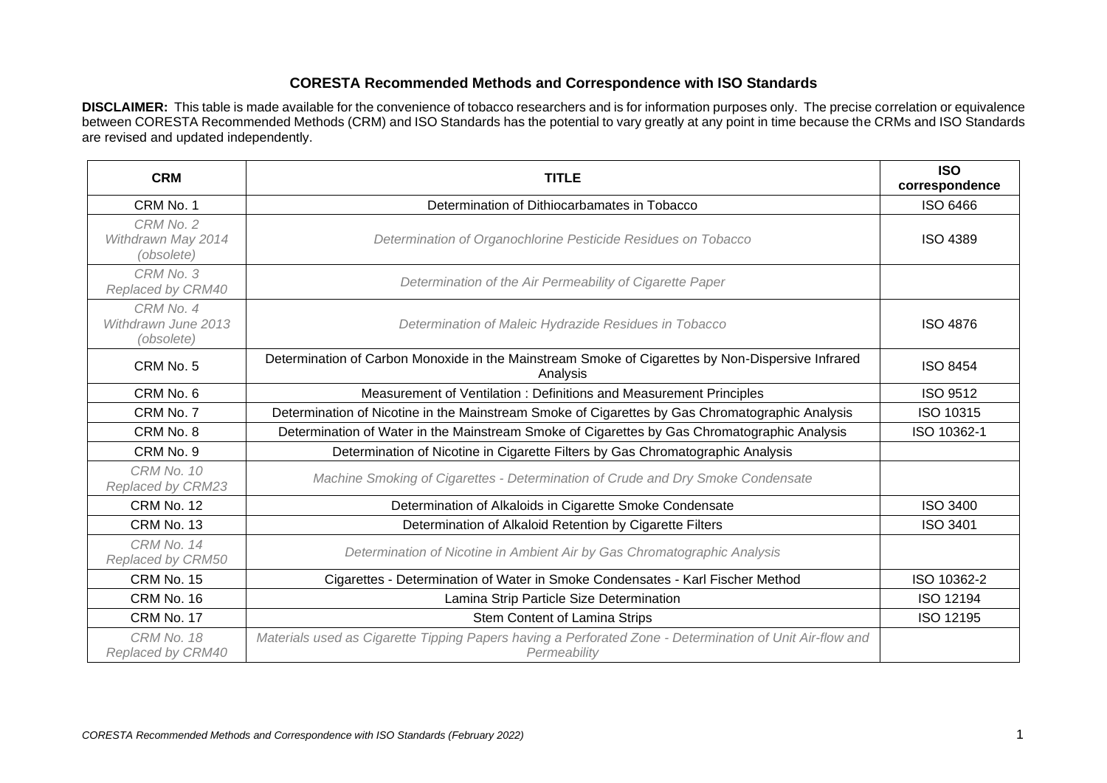## **CORESTA Recommended Methods and Correspondence with ISO Standards**

**DISCLAIMER:** This table is made available for the convenience of tobacco researchers and is for information purposes only. The precise correlation or equivalence between CORESTA Recommended Methods (CRM) and ISO Standards has the potential to vary greatly at any point in time because the CRMs and ISO Standards are revised and updated independently.

| <b>CRM</b>                                     | <b>TITLE</b>                                                                                                             | <b>ISO</b><br>correspondence |
|------------------------------------------------|--------------------------------------------------------------------------------------------------------------------------|------------------------------|
| CRM No. 1                                      | Determination of Dithiocarbamates in Tobacco                                                                             | <b>ISO 6466</b>              |
| CRM No. 2<br>Withdrawn May 2014<br>(obsolete)  | Determination of Organochlorine Pesticide Residues on Tobacco                                                            | <b>ISO 4389</b>              |
| CRM No. 3<br>Replaced by CRM40                 | Determination of the Air Permeability of Cigarette Paper                                                                 |                              |
| CRM No. 4<br>Withdrawn June 2013<br>(obsolete) | Determination of Maleic Hydrazide Residues in Tobacco                                                                    | <b>ISO 4876</b>              |
| CRM No. 5                                      | Determination of Carbon Monoxide in the Mainstream Smoke of Cigarettes by Non-Dispersive Infrared<br>Analysis            | <b>ISO 8454</b>              |
| CRM No. 6                                      | Measurement of Ventilation : Definitions and Measurement Principles                                                      | <b>ISO 9512</b>              |
| CRM No. 7                                      | Determination of Nicotine in the Mainstream Smoke of Cigarettes by Gas Chromatographic Analysis                          | ISO 10315                    |
| CRM No. 8                                      | Determination of Water in the Mainstream Smoke of Cigarettes by Gas Chromatographic Analysis                             | ISO 10362-1                  |
| CRM No. 9                                      | Determination of Nicotine in Cigarette Filters by Gas Chromatographic Analysis                                           |                              |
| CRM No. 10<br>Replaced by CRM23                | Machine Smoking of Cigarettes - Determination of Crude and Dry Smoke Condensate                                          |                              |
| CRM No. 12                                     | Determination of Alkaloids in Cigarette Smoke Condensate                                                                 | <b>ISO 3400</b>              |
| CRM No. 13                                     | Determination of Alkaloid Retention by Cigarette Filters                                                                 | <b>ISO 3401</b>              |
| CRM No. 14<br>Replaced by CRM50                | Determination of Nicotine in Ambient Air by Gas Chromatographic Analysis                                                 |                              |
| CRM No. 15                                     | Cigarettes - Determination of Water in Smoke Condensates - Karl Fischer Method                                           | ISO 10362-2                  |
| CRM No. 16                                     | Lamina Strip Particle Size Determination                                                                                 | <b>ISO 12194</b>             |
| CRM No. 17                                     | Stem Content of Lamina Strips                                                                                            | ISO 12195                    |
| CRM No. 18<br>Replaced by CRM40                | Materials used as Cigarette Tipping Papers having a Perforated Zone - Determination of Unit Air-flow and<br>Permeability |                              |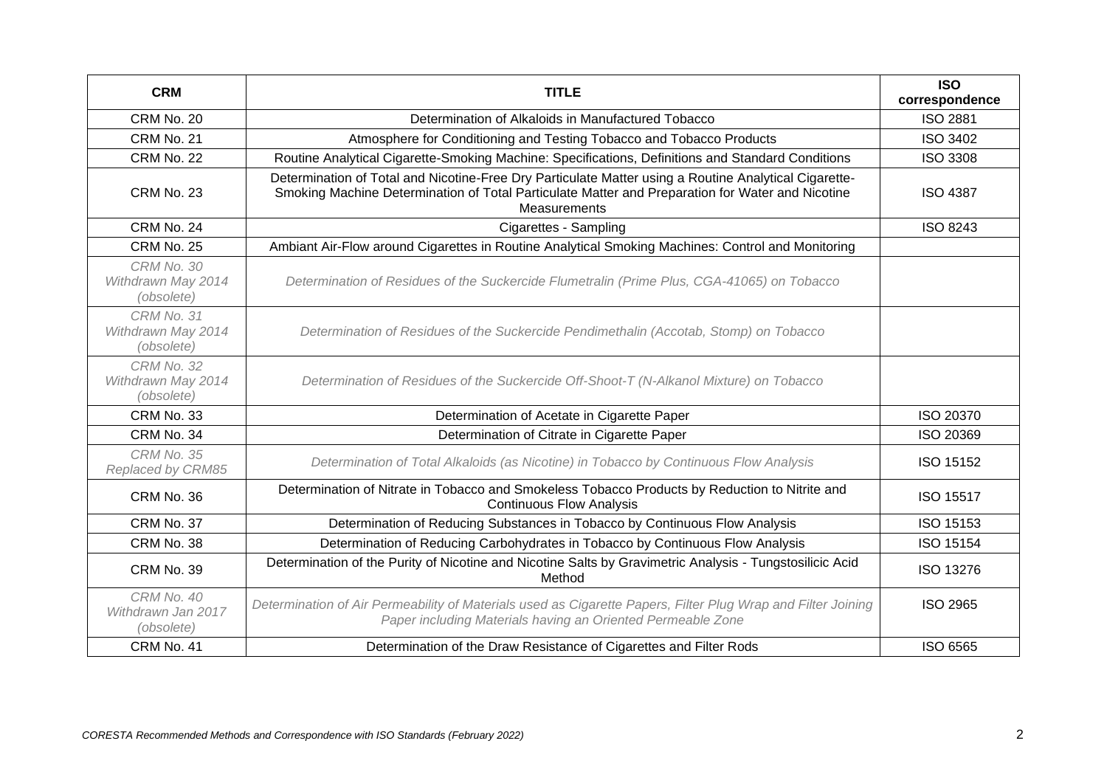| <b>CRM</b>                                     | <b>TITLE</b>                                                                                                                                                                                                              | <b>ISO</b><br>correspondence |
|------------------------------------------------|---------------------------------------------------------------------------------------------------------------------------------------------------------------------------------------------------------------------------|------------------------------|
| CRM No. 20                                     | Determination of Alkaloids in Manufactured Tobacco                                                                                                                                                                        | <b>ISO 2881</b>              |
| CRM No. 21                                     | Atmosphere for Conditioning and Testing Tobacco and Tobacco Products                                                                                                                                                      | <b>ISO 3402</b>              |
| <b>CRM No. 22</b>                              | Routine Analytical Cigarette-Smoking Machine: Specifications, Definitions and Standard Conditions                                                                                                                         | <b>ISO 3308</b>              |
| CRM No. 23                                     | Determination of Total and Nicotine-Free Dry Particulate Matter using a Routine Analytical Cigarette-<br>Smoking Machine Determination of Total Particulate Matter and Preparation for Water and Nicotine<br>Measurements | <b>ISO 4387</b>              |
| CRM No. 24                                     | Cigarettes - Sampling                                                                                                                                                                                                     | <b>ISO 8243</b>              |
| CRM No. 25                                     | Ambiant Air-Flow around Cigarettes in Routine Analytical Smoking Machines: Control and Monitoring                                                                                                                         |                              |
| CRM No. 30<br>Withdrawn May 2014<br>(obsolete) | Determination of Residues of the Suckercide Flumetralin (Prime Plus, CGA-41065) on Tobacco                                                                                                                                |                              |
| CRM No. 31<br>Withdrawn May 2014<br>(obsolete) | Determination of Residues of the Suckercide Pendimethalin (Accotab, Stomp) on Tobacco                                                                                                                                     |                              |
| CRM No. 32<br>Withdrawn May 2014<br>(obsolete) | Determination of Residues of the Suckercide Off-Shoot-T (N-Alkanol Mixture) on Tobacco                                                                                                                                    |                              |
| CRM No. 33                                     | Determination of Acetate in Cigarette Paper                                                                                                                                                                               | <b>ISO 20370</b>             |
| CRM No. 34                                     | Determination of Citrate in Cigarette Paper                                                                                                                                                                               | ISO 20369                    |
| CRM No. 35<br>Replaced by CRM85                | Determination of Total Alkaloids (as Nicotine) in Tobacco by Continuous Flow Analysis                                                                                                                                     | ISO 15152                    |
| CRM No. 36                                     | Determination of Nitrate in Tobacco and Smokeless Tobacco Products by Reduction to Nitrite and<br><b>Continuous Flow Analysis</b>                                                                                         | ISO 15517                    |
| CRM No. 37                                     | Determination of Reducing Substances in Tobacco by Continuous Flow Analysis                                                                                                                                               | ISO 15153                    |
| CRM No. 38                                     | Determination of Reducing Carbohydrates in Tobacco by Continuous Flow Analysis                                                                                                                                            | <b>ISO 15154</b>             |
| CRM No. 39                                     | Determination of the Purity of Nicotine and Nicotine Salts by Gravimetric Analysis - Tungstosilicic Acid<br>Method                                                                                                        | ISO 13276                    |
| CRM No. 40<br>Withdrawn Jan 2017<br>(obsolete) | Determination of Air Permeability of Materials used as Cigarette Papers, Filter Plug Wrap and Filter Joining<br>Paper including Materials having an Oriented Permeable Zone                                               | <b>ISO 2965</b>              |
| CRM No. 41                                     | Determination of the Draw Resistance of Cigarettes and Filter Rods                                                                                                                                                        | ISO 6565                     |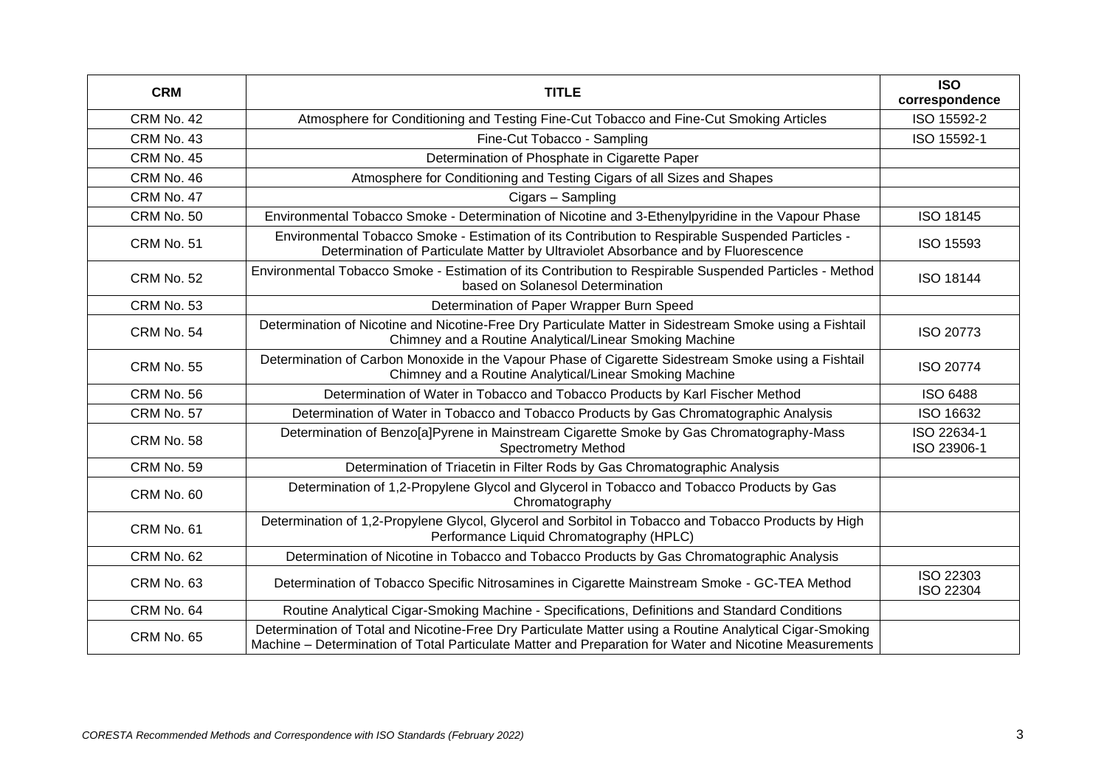| <b>CRM</b>        | <b>TITLE</b>                                                                                                                                                                                                        | <b>ISO</b><br>correspondence  |
|-------------------|---------------------------------------------------------------------------------------------------------------------------------------------------------------------------------------------------------------------|-------------------------------|
| CRM No. 42        | Atmosphere for Conditioning and Testing Fine-Cut Tobacco and Fine-Cut Smoking Articles                                                                                                                              | ISO 15592-2                   |
| CRM No. 43        | Fine-Cut Tobacco - Sampling                                                                                                                                                                                         | ISO 15592-1                   |
| CRM No. 45        | Determination of Phosphate in Cigarette Paper                                                                                                                                                                       |                               |
| CRM No. 46        | Atmosphere for Conditioning and Testing Cigars of all Sizes and Shapes                                                                                                                                              |                               |
| CRM No. 47        | Cigars - Sampling                                                                                                                                                                                                   |                               |
| CRM No. 50        | Environmental Tobacco Smoke - Determination of Nicotine and 3-Ethenylpyridine in the Vapour Phase                                                                                                                   | ISO 18145                     |
| CRM No. 51        | Environmental Tobacco Smoke - Estimation of its Contribution to Respirable Suspended Particles -<br>Determination of Particulate Matter by Ultraviolet Absorbance and by Fluorescence                               | ISO 15593                     |
| <b>CRM No. 52</b> | Environmental Tobacco Smoke - Estimation of its Contribution to Respirable Suspended Particles - Method<br>based on Solanesol Determination                                                                         | <b>ISO 18144</b>              |
| CRM No. 53        | Determination of Paper Wrapper Burn Speed                                                                                                                                                                           |                               |
| CRM No. 54        | Determination of Nicotine and Nicotine-Free Dry Particulate Matter in Sidestream Smoke using a Fishtail<br>Chimney and a Routine Analytical/Linear Smoking Machine                                                  | ISO 20773                     |
| CRM No. 55        | Determination of Carbon Monoxide in the Vapour Phase of Cigarette Sidestream Smoke using a Fishtail<br>Chimney and a Routine Analytical/Linear Smoking Machine                                                      | <b>ISO 20774</b>              |
| CRM No. 56        | Determination of Water in Tobacco and Tobacco Products by Karl Fischer Method                                                                                                                                       | <b>ISO 6488</b>               |
| CRM No. 57        | Determination of Water in Tobacco and Tobacco Products by Gas Chromatographic Analysis                                                                                                                              | ISO 16632                     |
| CRM No. 58        | Determination of Benzo[a]Pyrene in Mainstream Cigarette Smoke by Gas Chromatography-Mass<br><b>Spectrometry Method</b>                                                                                              | ISO 22634-1<br>ISO 23906-1    |
| CRM No. 59        | Determination of Triacetin in Filter Rods by Gas Chromatographic Analysis                                                                                                                                           |                               |
| CRM No. 60        | Determination of 1,2-Propylene Glycol and Glycerol in Tobacco and Tobacco Products by Gas<br>Chromatography                                                                                                         |                               |
| CRM No. 61        | Determination of 1,2-Propylene Glycol, Glycerol and Sorbitol in Tobacco and Tobacco Products by High<br>Performance Liquid Chromatography (HPLC)                                                                    |                               |
| CRM No. 62        | Determination of Nicotine in Tobacco and Tobacco Products by Gas Chromatographic Analysis                                                                                                                           |                               |
| CRM No. 63        | Determination of Tobacco Specific Nitrosamines in Cigarette Mainstream Smoke - GC-TEA Method                                                                                                                        | ISO 22303<br><b>ISO 22304</b> |
| CRM No. 64        | Routine Analytical Cigar-Smoking Machine - Specifications, Definitions and Standard Conditions                                                                                                                      |                               |
| CRM No. 65        | Determination of Total and Nicotine-Free Dry Particulate Matter using a Routine Analytical Cigar-Smoking<br>Machine - Determination of Total Particulate Matter and Preparation for Water and Nicotine Measurements |                               |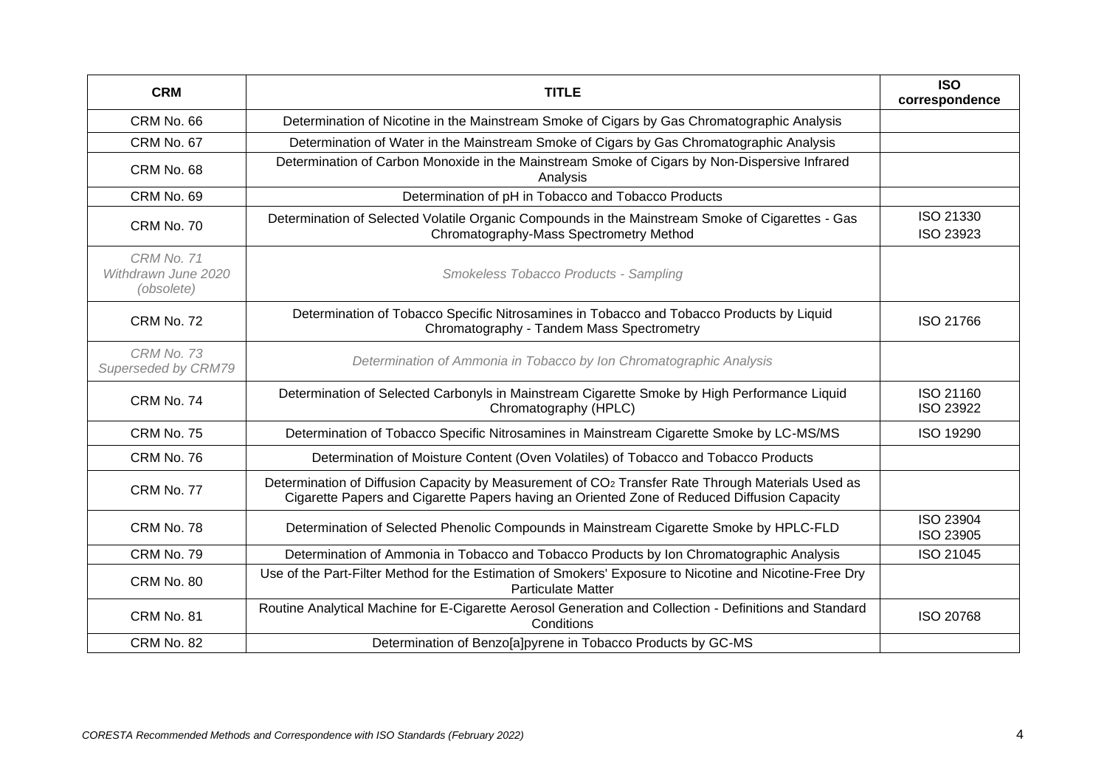| <b>CRM</b>                                             | <b>TITLE</b>                                                                                                                                                                                                 | <b>ISO</b><br>correspondence  |
|--------------------------------------------------------|--------------------------------------------------------------------------------------------------------------------------------------------------------------------------------------------------------------|-------------------------------|
| CRM No. 66                                             | Determination of Nicotine in the Mainstream Smoke of Cigars by Gas Chromatographic Analysis                                                                                                                  |                               |
| CRM No. 67                                             | Determination of Water in the Mainstream Smoke of Cigars by Gas Chromatographic Analysis                                                                                                                     |                               |
| CRM No. 68                                             | Determination of Carbon Monoxide in the Mainstream Smoke of Cigars by Non-Dispersive Infrared<br>Analysis                                                                                                    |                               |
| CRM No. 69                                             | Determination of pH in Tobacco and Tobacco Products                                                                                                                                                          |                               |
| CRM No. 70                                             | Determination of Selected Volatile Organic Compounds in the Mainstream Smoke of Cigarettes - Gas<br>Chromatography-Mass Spectrometry Method                                                                  | ISO 21330<br>ISO 23923        |
| <b>CRM No. 71</b><br>Withdrawn June 2020<br>(obsolete) | Smokeless Tobacco Products - Sampling                                                                                                                                                                        |                               |
| CRM No. 72                                             | Determination of Tobacco Specific Nitrosamines in Tobacco and Tobacco Products by Liquid<br>Chromatography - Tandem Mass Spectrometry                                                                        | ISO 21766                     |
| CRM No. 73<br>Superseded by CRM79                      | Determination of Ammonia in Tobacco by Ion Chromatographic Analysis                                                                                                                                          |                               |
| CRM No. 74                                             | Determination of Selected Carbonyls in Mainstream Cigarette Smoke by High Performance Liquid<br>Chromatography (HPLC)                                                                                        | ISO 21160<br>ISO 23922        |
| CRM No. 75                                             | Determination of Tobacco Specific Nitrosamines in Mainstream Cigarette Smoke by LC-MS/MS                                                                                                                     | ISO 19290                     |
| CRM No. 76                                             | Determination of Moisture Content (Oven Volatiles) of Tobacco and Tobacco Products                                                                                                                           |                               |
| CRM No. 77                                             | Determination of Diffusion Capacity by Measurement of CO <sub>2</sub> Transfer Rate Through Materials Used as<br>Cigarette Papers and Cigarette Papers having an Oriented Zone of Reduced Diffusion Capacity |                               |
| CRM No. 78                                             | Determination of Selected Phenolic Compounds in Mainstream Cigarette Smoke by HPLC-FLD                                                                                                                       | <b>ISO 23904</b><br>ISO 23905 |
| CRM No. 79                                             | Determination of Ammonia in Tobacco and Tobacco Products by Ion Chromatographic Analysis                                                                                                                     | ISO 21045                     |
| CRM No. 80                                             | Use of the Part-Filter Method for the Estimation of Smokers' Exposure to Nicotine and Nicotine-Free Dry<br><b>Particulate Matter</b>                                                                         |                               |
| CRM No. 81                                             | Routine Analytical Machine for E-Cigarette Aerosol Generation and Collection - Definitions and Standard<br>Conditions                                                                                        | <b>ISO 20768</b>              |
| CRM No. 82                                             | Determination of Benzo[a]pyrene in Tobacco Products by GC-MS                                                                                                                                                 |                               |